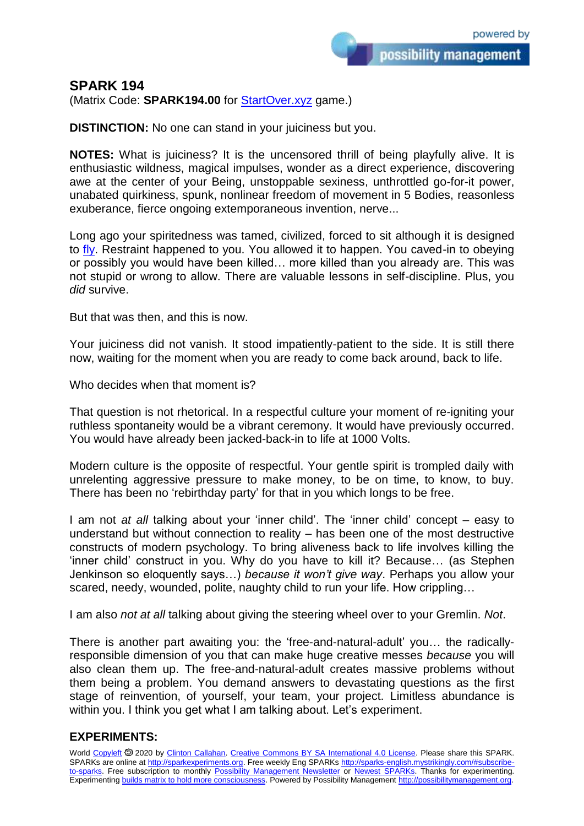## **SPARK 194**

(Matrix Code: **SPARK194.00** for **StartOver.xyz** game.)

**DISTINCTION:** No one can stand in your juiciness but you.

**NOTES:** What is juiciness? It is the uncensored thrill of being playfully alive. It is enthusiastic wildness, magical impulses, wonder as a direct experience, discovering awe at the center of your Being, unstoppable sexiness, unthrottled go-for-it power, unabated quirkiness, spunk, nonlinear freedom of movement in 5 Bodies, reasonless exuberance, fierce ongoing extemporaneous invention, nerve...

Long ago your spiritedness was tamed, civilized, forced to sit although it is designed to [fly.](http://flyingschool.strikingly.com/) Restraint happened to you. You allowed it to happen. You caved-in to obeying or possibly you would have been killed… more killed than you already are. This was not stupid or wrong to allow. There are valuable lessons in self-discipline. Plus, you *did* survive.

But that was then, and this is now.

Your juiciness did not vanish. It stood impatiently-patient to the side. It is still there now, waiting for the moment when you are ready to come back around, back to life.

Who decides when that moment is?

That question is not rhetorical. In a respectful culture your moment of re-igniting your ruthless spontaneity would be a vibrant ceremony. It would have previously occurred. You would have already been jacked-back-in to life at 1000 Volts.

Modern culture is the opposite of respectful. Your gentle spirit is trompled daily with unrelenting aggressive pressure to make money, to be on time, to know, to buy. There has been no 'rebirthday party' for that in you which longs to be free.

I am not *at all* talking about your 'inner child'. The 'inner child' concept – easy to understand but without connection to reality – has been one of the most destructive constructs of modern psychology. To bring aliveness back to life involves killing the 'inner child' construct in you. Why do you have to kill it? Because… (as Stephen Jenkinson so eloquently says…) *because it won't give way*. Perhaps you allow your scared, needy, wounded, polite, naughty child to run your life. How crippling…

I am also *not at all* talking about giving the steering wheel over to your Gremlin. *Not*.

There is another part awaiting you: the 'free-and-natural-adult' you… the radicallyresponsible dimension of you that can make huge creative messes *because* you will also clean them up. The free-and-natural-adult creates massive problems without them being a problem. You demand answers to devastating questions as the first stage of reinvention, of yourself, your team, your project. Limitless abundance is within you. I think you get what I am talking about. Let's experiment.

## **EXPERIMENTS:**